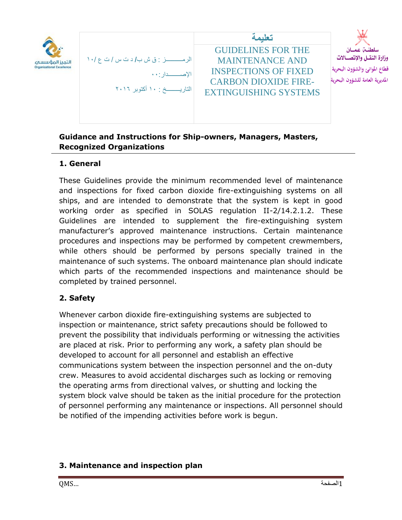الرمـــــــــــز : ق ش ب**/** د ت س / ت ع 10/ اإلصــــــــدار00: التاريـــــــــخ : 10 أكتوبر 2016 **تعليمة** GUIDELINES FOR THE MAINTENANCE AND INSPECTIONS OF FIXED CARBON DIOXIDE FIRE-EXTINGUISHING SYSTEMS **قطاع املوانئ والشؤون البحرية املديرية العامة للشؤون البحرية**

## **Guidance and Instructions for Ship-owners, Managers, Masters, Recognized Organizations**

### **1. General**

These Guidelines provide the minimum recommended level of maintenance and inspections for fixed carbon dioxide fire-extinguishing systems on all ships, and are intended to demonstrate that the system is kept in good working order as specified in SOLAS regulation II-2/14.2.1.2. These Guidelines are intended to supplement the fire-extinguishing system manufacturer's approved maintenance instructions. Certain maintenance procedures and inspections may be performed by competent crewmembers, while others should be performed by persons specially trained in the maintenance of such systems. The onboard maintenance plan should indicate which parts of the recommended inspections and maintenance should be completed by trained personnel.

## **2. Safety**

Whenever carbon dioxide fire-extinguishing systems are subjected to inspection or maintenance, strict safety precautions should be followed to prevent the possibility that individuals performing or witnessing the activities are placed at risk. Prior to performing any work, a safety plan should be developed to account for all personnel and establish an effective communications system between the inspection personnel and the on-duty crew. Measures to avoid accidental discharges such as locking or removing the operating arms from directional valves, or shutting and locking the system block valve should be taken as the initial procedure for the protection of personnel performing any maintenance or inspections. All personnel should be notified of the impending activities before work is begun.

## **3. Maintenance and inspection plan**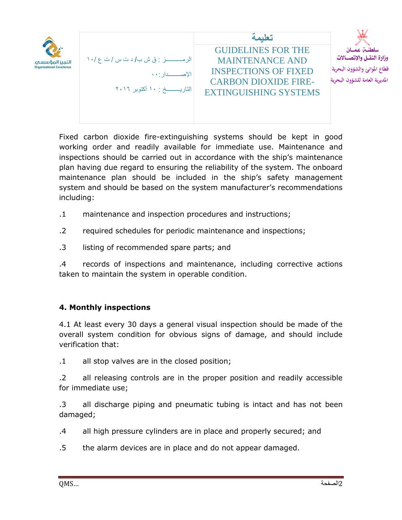| التميز المؤسسيه<br><b>Organizational Excellence</b> | الإصـــــــدار : • •               | تعليمة<br><b>GUIDELINES FOR THE</b><br><b>MAINTENANCE AND</b><br><b>INSPECTIONS OF FIXED</b><br><b>CARBON DIOXIDE FIRE-</b> | سلطنت عمسان<br>وزارة النقـل والإتصــالات<br>قطاع الموانئ والشؤون البحرية<br>المديرية العامة للشؤون البحرية |
|-----------------------------------------------------|------------------------------------|-----------------------------------------------------------------------------------------------------------------------------|------------------------------------------------------------------------------------------------------------|
|                                                     | التاريــــــــــخ : ١٠ أكتوبر ٢٠١٦ | <b>EXTINGUISHING SYSTEMS</b>                                                                                                |                                                                                                            |

Fixed carbon dioxide fire-extinguishing systems should be kept in good working order and readily available for immediate use. Maintenance and inspections should be carried out in accordance with the ship's maintenance plan having due regard to ensuring the reliability of the system. The onboard maintenance plan should be included in the ship's safety management system and should be based on the system manufacturer's recommendations including:

- .1 maintenance and inspection procedures and instructions;
- .2 required schedules for periodic maintenance and inspections;
- .3 listing of recommended spare parts; and

.4 records of inspections and maintenance, including corrective actions taken to maintain the system in operable condition.

## **4. Monthly inspections**

4.1 At least every 30 days a general visual inspection should be made of the overall system condition for obvious signs of damage, and should include verification that:

.1 all stop valves are in the closed position;

.2 all releasing controls are in the proper position and readily accessible for immediate use;

.3 all discharge piping and pneumatic tubing is intact and has not been damaged;

- .4 all high pressure cylinders are in place and properly secured; and
- .5 the alarm devices are in place and do not appear damaged.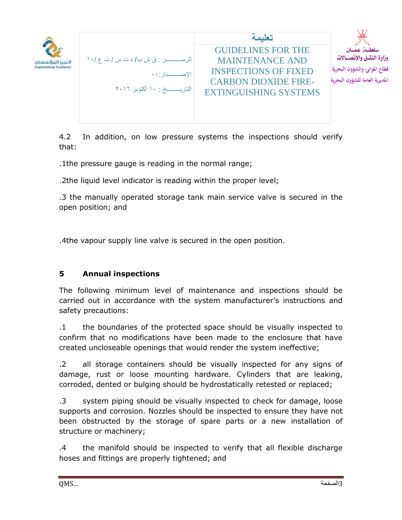



4.2 In addition, on low pressure systems the inspections should verify that:

.1the pressure gauge is reading in the normal range;

.2the liquid level indicator is reading within the proper level;

.3 the manually operated storage tank main service valve is secured in the open position; and

.4the vapour supply line valve is secured in the open position.

# **5 Annual inspections**

The following minimum level of maintenance and inspections should be carried out in accordance with the system manufacturer's instructions and safety precautions:

.1 the boundaries of the protected space should be visually inspected to confirm that no modifications have been made to the enclosure that have created uncloseable openings that would render the system ineffective;

.2 all storage containers should be visually inspected for any signs of damage, rust or loose mounting hardware. Cylinders that are leaking, corroded, dented or bulging should be hydrostatically retested or replaced;

.3 system piping should be visually inspected to check for damage, loose supports and corrosion. Nozzles should be inspected to ensure they have not been obstructed by the storage of spare parts or a new installation of structure or machinery;

.4 the manifold should be inspected to verify that all flexible discharge hoses and fittings are properly tightened; and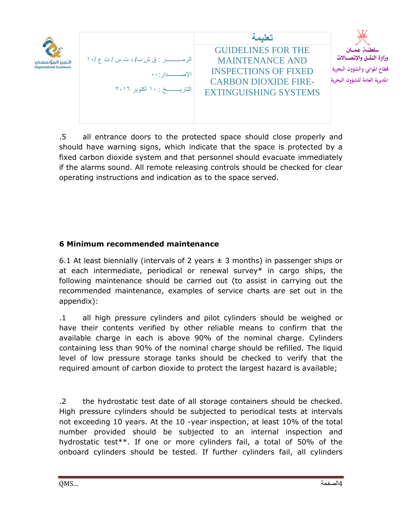| التميز المؤسسه<br><b>Organizational Excellence</b> | الاصيصدار : ۱۰<br>التاريــــــــــخ : ١٠ أكتوبر ٢٠١٦ | تعليمة<br><b>GUIDELINES FOR THE</b><br><b>MAINTENANCE AND</b><br><b>INSPECTIONS OF FIXED</b><br><b>CARBON DIOXIDE FIRE-</b><br><b>EXTINGUISHING SYSTEMS</b> | سلطنت عمان<br>وزارة النقـل والإتصــالات<br>قطاع الموانئ والشؤون البحرية<br>المديرية العامة للشؤون البحرية |
|----------------------------------------------------|------------------------------------------------------|-------------------------------------------------------------------------------------------------------------------------------------------------------------|-----------------------------------------------------------------------------------------------------------|
|                                                    |                                                      |                                                                                                                                                             |                                                                                                           |

.5 all entrance doors to the protected space should close properly and should have warning signs, which indicate that the space is protected by a fixed carbon dioxide system and that personnel should evacuate immediately if the alarms sound. All remote releasing controls should be checked for clear operating instructions and indication as to the space served.

## **6 Minimum recommended maintenance**

6.1 At least biennially (intervals of 2 years  $\pm$  3 months) in passenger ships or at each intermediate, periodical or renewal survey\* in cargo ships, the following maintenance should be carried out (to assist in carrying out the recommended maintenance, examples of service charts are set out in the appendix):

.1 all high pressure cylinders and pilot cylinders should be weighed or have their contents verified by other reliable means to confirm that the available charge in each is above 90% of the nominal charge. Cylinders containing less than 90% of the nominal charge should be refilled. The liquid level of low pressure storage tanks should be checked to verify that the required amount of carbon dioxide to protect the largest hazard is available;

.2 the hydrostatic test date of all storage containers should be checked. High pressure cylinders should be subjected to periodical tests at intervals not exceeding 10 years. At the 10 -year inspection, at least 10% of the total number provided should be subjected to an internal inspection and hydrostatic test\*\*. If one or more cylinders fail, a total of 50% of the onboard cylinders should be tested. If further cylinders fail, all cylinders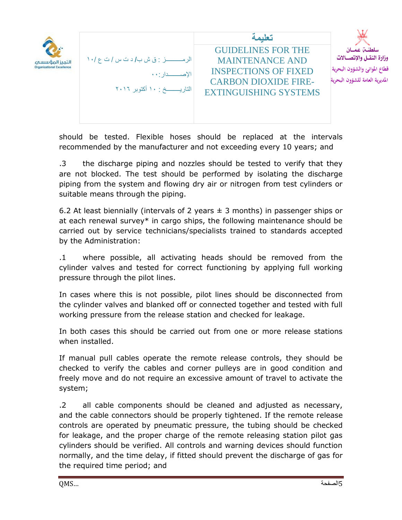| التميز المؤسسه<br><b>Organizational Excellence</b> | الإصطبار :٠٠<br>التاريـــــــــخ : ١٠ أكتوبر ٢٠١٦ | تعلىمة<br><b>GUIDELINES FOR THE</b><br><b>MAINTENANCE AND</b><br><b>INSPECTIONS OF FIXED</b><br><b>CARBON DIOXIDE FIRE-</b><br><b>EXTINGUISHING SYSTEMS</b> | سلطنت عمسان<br>وزارة النقـل والإتصــالات<br>قطاع الموانئ والشؤون البحرية<br>المديرية العامة للشؤون البحرية |
|----------------------------------------------------|---------------------------------------------------|-------------------------------------------------------------------------------------------------------------------------------------------------------------|------------------------------------------------------------------------------------------------------------|
|                                                    |                                                   |                                                                                                                                                             |                                                                                                            |

should be tested. Flexible hoses should be replaced at the intervals recommended by the manufacturer and not exceeding every 10 years; and

.3 the discharge piping and nozzles should be tested to verify that they are not blocked. The test should be performed by isolating the discharge piping from the system and flowing dry air or nitrogen from test cylinders or suitable means through the piping.

6.2 At least biennially (intervals of 2 years  $\pm$  3 months) in passenger ships or at each renewal survey\* in cargo ships, the following maintenance should be carried out by service technicians/specialists trained to standards accepted by the Administration:

.1 where possible, all activating heads should be removed from the cylinder valves and tested for correct functioning by applying full working pressure through the pilot lines.

In cases where this is not possible, pilot lines should be disconnected from the cylinder valves and blanked off or connected together and tested with full working pressure from the release station and checked for leakage.

In both cases this should be carried out from one or more release stations when installed.

If manual pull cables operate the remote release controls, they should be checked to verify the cables and corner pulleys are in good condition and freely move and do not require an excessive amount of travel to activate the system;

.2 all cable components should be cleaned and adjusted as necessary, and the cable connectors should be properly tightened. If the remote release controls are operated by pneumatic pressure, the tubing should be checked for leakage, and the proper charge of the remote releasing station pilot gas cylinders should be verified. All controls and warning devices should function normally, and the time delay, if fitted should prevent the discharge of gas for the required time period; and